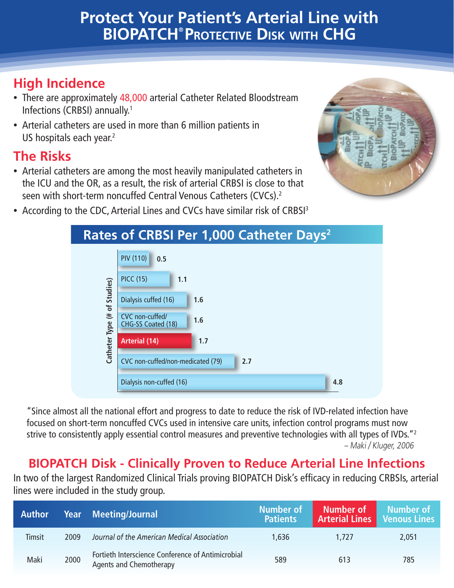# **Protect Your Patient's Arterial Line with BIOPATCH® Protective Disk with CHG**

## **High Incidence**

- There are approximately 48,000 arterial Catheter Related Bloodstream Infections (CRBSI) annually.1
- Arterial catheters are used in more than 6 million patients in US hospitals each year.<sup>2</sup>

#### **The Risks**

• Arterial catheters are among the most heavily manipulated catheters in the ICU and the OR, as a result, the risk of arterial CRBSI is close to that seen with short-term noncuffed Central Venous Catheters (CVCs).2



• According to the CDC, Arterial Lines and CVCs have similar risk of CRBSI<sup>3</sup>

| Rates of CRBSI Per 1,000 Catheter Days <sup>2</sup> |                                              |  |  |  |  |  |
|-----------------------------------------------------|----------------------------------------------|--|--|--|--|--|
|                                                     | <b>PIV (110)</b><br>0.5                      |  |  |  |  |  |
|                                                     | <b>PICC (15)</b><br>1.1                      |  |  |  |  |  |
|                                                     | Dialysis cuffed (16)<br>1.6                  |  |  |  |  |  |
| Catheter Type (# of Studies)                        | CVC non-cuffed/<br>1.6<br>CHG-SS Coated (18) |  |  |  |  |  |
|                                                     | 1.7<br><b>Arterial (14)</b>                  |  |  |  |  |  |
|                                                     | CVC non-cuffed/non-medicated (79)<br>2.7     |  |  |  |  |  |
|                                                     | Dialysis non-cuffed (16)<br>4.8              |  |  |  |  |  |

"Since almost all the national effort and progress to date to reduce the risk of IVD-related infection have focused on short-term noncuffed CVCs used in intensive care units, infection control programs must now strive to consistently apply essential control measures and preventive technologies with all types of IVDs."<sup>2</sup> – Maki / Kluger, 2006

#### **BIOPATCH Disk - Clinically Proven to Reduce Arterial Line Infections**

In two of the largest Randomized Clinical Trials proving BIOPATCH Disk's efficacy in reducing CRBSIs, arterial lines were included in the study group.

| <b>Author</b> |      | <b>Year Meeting/Journal</b>                                                         | <b>Number of</b><br><b>Patients</b> | Number of<br><b>Arterial Lines   Venous Lines</b> | Number of |
|---------------|------|-------------------------------------------------------------------------------------|-------------------------------------|---------------------------------------------------|-----------|
| Timsit        | 2009 | Journal of the American Medical Association                                         | 1,636                               | 1.727                                             | 2,051     |
| Maki          | 2000 | Fortieth Interscience Conference of Antimicrobial<br><b>Agents and Chemotherapy</b> | 589                                 | 613                                               | 785       |